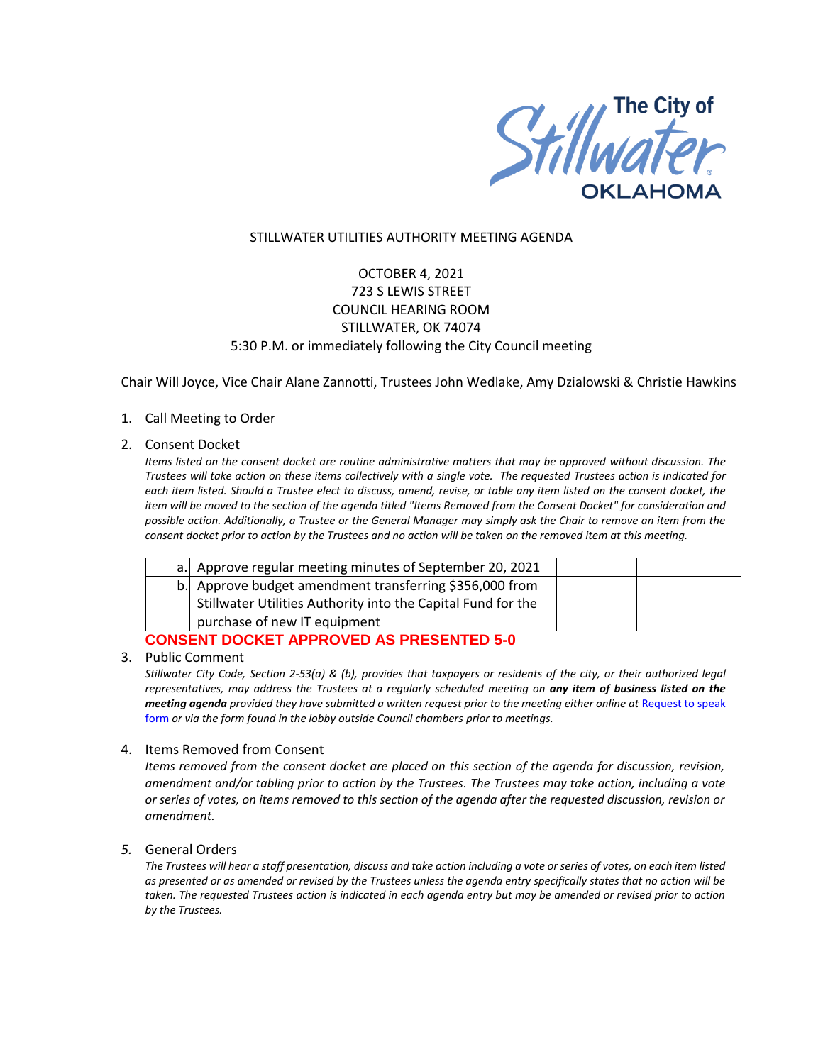

### STILLWATER UTILITIES AUTHORITY MEETING AGENDA

# OCTOBER 4, 2021 723 S LEWIS STREET COUNCIL HEARING ROOM STILLWATER, OK 74074 5:30 P.M. or immediately following the City Council meeting

Chair Will Joyce, Vice Chair Alane Zannotti, Trustees John Wedlake, Amy Dzialowski & Christie Hawkins

1. Call Meeting to Order

### 2. Consent Docket

*Items listed on the consent docket are routine administrative matters that may be approved without discussion. The Trustees will take action on these items collectively with a single vote. The requested Trustees action is indicated for each item listed. Should a Trustee elect to discuss, amend, revise, or table any item listed on the consent docket, the item will be moved to the section of the agenda titled "Items Removed from the Consent Docket" for consideration and possible action. Additionally, a Trustee or the General Manager may simply ask the Chair to remove an item from the consent docket prior to action by the Trustees and no action will be taken on the removed item at this meeting.*

|                                          | a. Approve regular meeting minutes of September 20, 2021     |  |  |  |
|------------------------------------------|--------------------------------------------------------------|--|--|--|
|                                          | b. Approve budget amendment transferring \$356,000 from      |  |  |  |
|                                          | Stillwater Utilities Authority into the Capital Fund for the |  |  |  |
|                                          | purchase of new IT equipment                                 |  |  |  |
| CANCENT DOCKET ADDDOVED AC DRECENTED E A |                                                              |  |  |  |

### **CONSENT DOCKET APPROVED AS PRESENTED 5-0**

3. Public Comment

*Stillwater City Code, Section 2-53(a) & (b), provides that taxpayers or residents of the city, or their authorized legal representatives, may address the Trustees at a regularly scheduled meeting on any item of business listed on the meeting agenda provided they have submitted a written request prior to the meeting either online at Request to speak* [form](http://stillwater.org/page/home/government/mayor-city-council/meetings-agendas-minutes/online-request-to-speak-at-city-council) *or via the form found in the lobby outside Council chambers prior to meetings.*

### 4. Items Removed from Consent

*Items removed from the consent docket are placed on this section of the agenda for discussion, revision, amendment and/or tabling prior to action by the Trustees. The Trustees may take action, including a vote or series of votes, on items removed to this section of the agenda after the requested discussion, revision or amendment.* 

### *5.* General Orders

*The Trustees will hear a staff presentation, discuss and take action including a vote or series of votes, on each item listed as presented or as amended or revised by the Trustees unless the agenda entry specifically states that no action will be taken. The requested Trustees action is indicated in each agenda entry but may be amended or revised prior to action by the Trustees.*